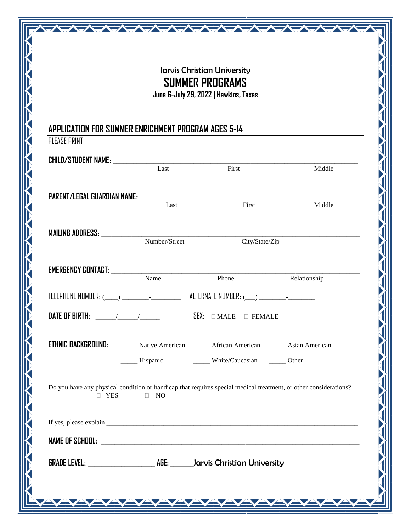|                                                                     |           | Jarvis Christian University<br><b>SUMMER PROGRAMS</b><br>June 6-July 29, 2022   Hawkins, Texas                                                                                                                                                                                                                                                                                                  |        |
|---------------------------------------------------------------------|-----------|-------------------------------------------------------------------------------------------------------------------------------------------------------------------------------------------------------------------------------------------------------------------------------------------------------------------------------------------------------------------------------------------------|--------|
| APPLICATION FOR SUMMER ENRICHMENT PROGRAM AGES 5-14<br>PLEASE PRINT |           |                                                                                                                                                                                                                                                                                                                                                                                                 |        |
|                                                                     |           |                                                                                                                                                                                                                                                                                                                                                                                                 | Middle |
|                                                                     |           | <b>PARENT/LEGAL GUARDIAN NAME:</b> Last First First Middle                                                                                                                                                                                                                                                                                                                                      |        |
|                                                                     |           | MAILING ADDRESS: Number/Street City/State/Zip                                                                                                                                                                                                                                                                                                                                                   |        |
|                                                                     |           | EMERGENCY CONTACT: Name Phone Relationship                                                                                                                                                                                                                                                                                                                                                      |        |
|                                                                     |           |                                                                                                                                                                                                                                                                                                                                                                                                 |        |
|                                                                     |           |                                                                                                                                                                                                                                                                                                                                                                                                 |        |
|                                                                     |           | <b>ETHNIC BACKGROUND:</b> _______ Native American _______ African American ______ Asian American______                                                                                                                                                                                                                                                                                          |        |
| $\Box$ YES                                                          | $\Box$ NO | Do you have any physical condition or handicap that requires special medical treatment, or other considerations?                                                                                                                                                                                                                                                                                |        |
|                                                                     |           | If yes, please explain $\frac{1}{\sqrt{1-\frac{1}{2}}\sqrt{1-\frac{1}{2}}\sqrt{1-\frac{1}{2}}\sqrt{1-\frac{1}{2}}\sqrt{1-\frac{1}{2}}\sqrt{1-\frac{1}{2}}\sqrt{1-\frac{1}{2}}\sqrt{1-\frac{1}{2}}\sqrt{1-\frac{1}{2}}\sqrt{1-\frac{1}{2}}\sqrt{1-\frac{1}{2}}\sqrt{1-\frac{1}{2}}\sqrt{1-\frac{1}{2}}\sqrt{1-\frac{1}{2}}\sqrt{1-\frac{1}{2}}\sqrt{1-\frac{1}{2}}\sqrt{1-\frac{1}{2}}\sqrt{1-\$ |        |
|                                                                     |           |                                                                                                                                                                                                                                                                                                                                                                                                 |        |
|                                                                     |           |                                                                                                                                                                                                                                                                                                                                                                                                 |        |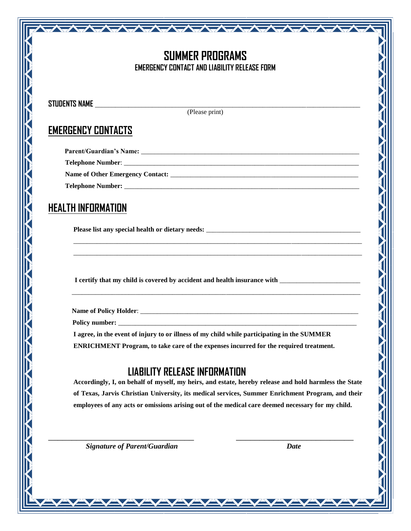## **SUMMER PROGRAMS EMERGENCY CONTACT AND LIABILITY RELEASE FORM**

WAYNE A THE MAIN AND A THE MAIN

#### **STUDENTS NAME** \_\_\_\_\_\_\_\_\_\_\_\_\_\_\_\_\_\_\_\_\_\_\_\_\_\_\_\_\_\_\_\_\_\_\_\_\_\_\_\_\_\_\_\_\_\_\_\_\_\_\_\_\_\_\_\_\_\_\_\_\_\_\_\_\_\_\_\_\_\_\_\_\_\_\_\_\_\_\_

(Please print)

## **EMERGENCY CONTACTS**

 **Parent/Guardian's Name:** \_\_\_\_\_\_\_\_\_\_\_\_\_\_\_\_\_\_\_\_\_\_\_\_\_\_\_\_\_\_\_\_\_\_\_\_\_\_\_\_\_\_\_\_\_\_\_\_\_\_\_\_\_\_\_\_\_\_\_\_\_\_\_\_\_ **Telephone Number:** 

 **Name of Other Emergency Contact:** \_\_\_\_\_\_\_\_\_\_\_\_\_\_\_\_\_\_\_\_\_\_\_\_\_\_\_\_\_\_\_\_\_\_\_\_\_\_\_\_\_\_\_\_\_\_\_\_\_\_\_\_\_\_\_\_

 **Telephone Number:** \_\_\_\_\_\_\_\_\_\_\_\_\_\_\_\_\_\_\_\_\_\_\_\_\_\_\_\_\_\_\_\_\_\_\_\_\_\_\_\_\_\_\_\_\_\_\_\_\_\_\_\_\_\_\_\_\_\_\_\_\_\_\_\_\_\_\_\_\_\_

## **HEALTH INFORMATION**

**Please list any special health or dietary needs:** \_\_\_\_\_\_\_\_\_\_\_\_\_\_\_\_\_\_\_\_\_\_\_\_\_\_\_\_\_\_\_\_\_\_\_\_\_\_\_\_\_\_\_\_\_\_

**I certify that my child is covered by accident and health insurance with** \_\_\_\_\_\_\_\_\_\_\_\_\_\_\_\_\_\_\_\_\_\_\_\_

| Name of Policy Holder:                                                                       |
|----------------------------------------------------------------------------------------------|
| Policy number:                                                                               |
| I agree, in the event of injury to or illness of my child while participating in the SUMMER  |
| <b>ENRICHMENT Program, to take care of the expenses incurred for the required treatment.</b> |

 $\_$  ,  $\_$  ,  $\_$  ,  $\_$  ,  $\_$  ,  $\_$  ,  $\_$  ,  $\_$  ,  $\_$  ,  $\_$  ,  $\_$  ,  $\_$  ,  $\_$  ,  $\_$  ,  $\_$  ,  $\_$  ,  $\_$  ,  $\_$  ,  $\_$  ,  $\_$  ,  $\_$  ,  $\_$  ,  $\_$  ,  $\_$  ,  $\_$  ,  $\_$  ,  $\_$  ,  $\_$  ,  $\_$  ,  $\_$  ,  $\_$  ,  $\_$  ,  $\_$  ,  $\_$  ,  $\_$  ,  $\_$  ,  $\_$  ,

\_\_\_\_\_\_\_\_\_\_\_\_\_\_\_\_\_\_\_\_\_\_\_\_\_\_\_\_\_\_\_\_\_\_\_\_\_\_\_\_\_\_\_\_\_\_\_\_\_\_\_\_\_\_\_\_\_\_\_\_\_\_\_\_\_\_\_\_\_\_\_\_\_\_\_\_\_\_\_\_\_\_\_\_\_\_ \_\_\_\_\_\_\_\_\_\_\_\_\_\_\_\_\_\_\_\_\_\_\_\_\_\_\_\_\_\_\_\_\_\_\_\_\_\_\_\_\_\_\_\_\_\_\_\_\_\_\_\_\_\_\_\_\_\_\_\_\_\_\_\_\_\_\_\_\_\_\_\_\_\_\_\_\_\_\_\_\_\_\_\_\_\_

## **LIABILITY RELEASE INFORMATION**

**Accordingly, I, on behalf of myself, my heirs, and estate, hereby release and hold harmless the State of Texas, Jarvis Christian University, its medical services, Summer Enrichment Program, and their employees of any acts or omissions arising out of the medical care deemed necessary for my child.**

\_\_\_\_\_\_\_\_\_\_\_\_\_\_\_\_\_\_\_\_\_\_\_\_\_\_\_\_\_\_\_ \_\_\_\_\_\_\_\_\_\_\_\_\_\_\_\_\_\_\_\_\_\_\_\_\_*Signature of Parent/Guardian Date*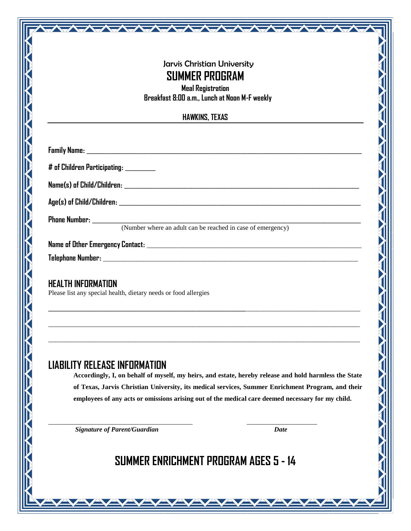| Jarvis Christian University |
|-----------------------------|
| <b>SUMMER PROGRAM</b>       |

**Meal Registration Breakfast 8:00 a.m., Lunch at Noon M-F weekly**

#### **HAWKINS, TEXAS**

| # of Children Participating: ________                       |
|-------------------------------------------------------------|
|                                                             |
|                                                             |
| (Number where an adult can be reached in case of emergency) |
|                                                             |
|                                                             |

**\_\_\_\_\_\_\_\_\_\_\_\_\_\_\_\_\_\_\_\_\_\_\_\_\_\_\_\_\_\_\_\_\_\_\_\_\_\_\_\_\_\_\_\_\_\_\_\_\_\_\_\_\_\_\_\_\_\_\_**\_\_\_\_\_\_\_\_\_\_\_\_\_\_\_\_\_\_\_\_\_\_\_\_\_\_\_\_\_\_\_\_\_\_

 $\_$  ,  $\_$  ,  $\_$  ,  $\_$  ,  $\_$  ,  $\_$  ,  $\_$  ,  $\_$  ,  $\_$  ,  $\_$  ,  $\_$  ,  $\_$  ,  $\_$  ,  $\_$  ,  $\_$  ,  $\_$  ,  $\_$  ,  $\_$  ,  $\_$  ,  $\_$  ,  $\_$  ,  $\_$  ,  $\_$  ,  $\_$  ,  $\_$  ,  $\_$  ,  $\_$  ,  $\_$  ,  $\_$  ,  $\_$  ,  $\_$  ,  $\_$  ,  $\_$  ,  $\_$  ,  $\_$  ,  $\_$  ,  $\_$  ,

 $\_$  ,  $\_$  ,  $\_$  ,  $\_$  ,  $\_$  ,  $\_$  ,  $\_$  ,  $\_$  ,  $\_$  ,  $\_$  ,  $\_$  ,  $\_$  ,  $\_$  ,  $\_$  ,  $\_$  ,  $\_$  ,  $\_$  ,  $\_$  ,  $\_$  ,  $\_$  ,  $\_$  ,  $\_$  ,  $\_$  ,  $\_$  ,  $\_$  ,  $\_$  ,  $\_$  ,  $\_$  ,  $\_$  ,  $\_$  ,  $\_$  ,  $\_$  ,  $\_$  ,  $\_$  ,  $\_$  ,  $\_$  ,  $\_$  ,

#### **HEALTH INFORMATION**

Please list any special health, dietary needs or food allergies

### **LIABILITY RELEASE INFORMATION**

**Accordingly, I, on behalf of myself, my heirs, and estate, hereby release and hold harmless the State of Texas, Jarvis Christian University, its medical services, Summer Enrichment Program, and their employees of any acts or omissions arising out of the medical care deemed necessary for my child.**

*Signature of Parent/Guardian Date* 

# **SUMMER ENRICHMENT PROGRAM AGES 5 - 14**

\_\_\_\_\_\_\_\_\_\_\_\_\_\_\_\_\_\_\_\_\_\_\_\_\_\_\_\_\_\_\_\_\_\_\_\_\_\_\_\_\_\_\_ \_\_\_\_\_\_\_\_\_\_\_\_\_\_\_\_\_\_\_\_\_